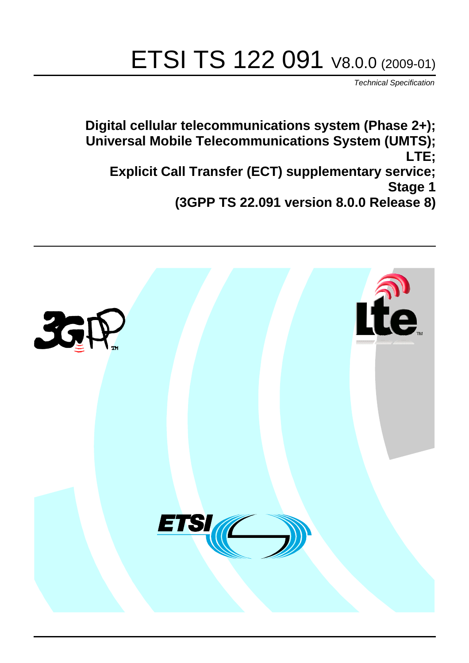# ETSI TS 122 091 V8.0.0 (2009-01)

*Technical Specification*

**Digital cellular telecommunications system (Phase 2+); Universal Mobile Telecommunications System (UMTS); LTE; Explicit Call Transfer (ECT) supplementary service; Stage 1 (3GPP TS 22.091 version 8.0.0 Release 8)**

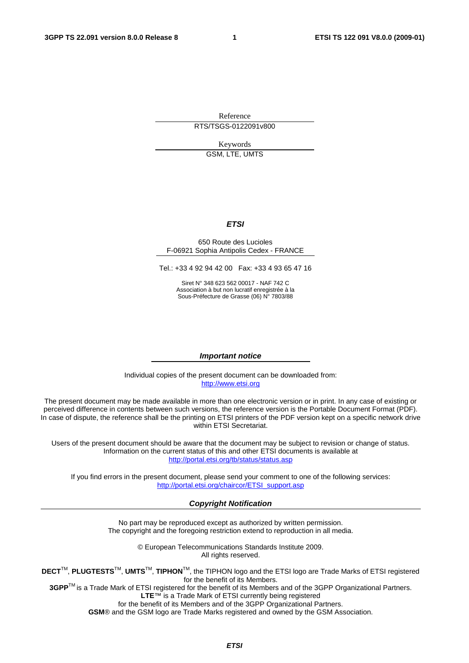Reference RTS/TSGS-0122091v800

Keywords

GSM, LTE, UMTS

#### *ETSI*

#### 650 Route des Lucioles F-06921 Sophia Antipolis Cedex - FRANCE

Tel.: +33 4 92 94 42 00 Fax: +33 4 93 65 47 16

Siret N° 348 623 562 00017 - NAF 742 C Association à but non lucratif enregistrée à la Sous-Préfecture de Grasse (06) N° 7803/88

#### *Important notice*

Individual copies of the present document can be downloaded from: [http://www.etsi.org](http://www.etsi.org/)

The present document may be made available in more than one electronic version or in print. In any case of existing or perceived difference in contents between such versions, the reference version is the Portable Document Format (PDF). In case of dispute, the reference shall be the printing on ETSI printers of the PDF version kept on a specific network drive within ETSI Secretariat.

Users of the present document should be aware that the document may be subject to revision or change of status. Information on the current status of this and other ETSI documents is available at <http://portal.etsi.org/tb/status/status.asp>

If you find errors in the present document, please send your comment to one of the following services: [http://portal.etsi.org/chaircor/ETSI\\_support.asp](http://portal.etsi.org/chaircor/ETSI_support.asp)

#### *Copyright Notification*

No part may be reproduced except as authorized by written permission. The copyright and the foregoing restriction extend to reproduction in all media.

> © European Telecommunications Standards Institute 2009. All rights reserved.

**DECT**TM, **PLUGTESTS**TM, **UMTS**TM, **TIPHON**TM, the TIPHON logo and the ETSI logo are Trade Marks of ETSI registered for the benefit of its Members.

**3GPP**TM is a Trade Mark of ETSI registered for the benefit of its Members and of the 3GPP Organizational Partners. **LTE**™ is a Trade Mark of ETSI currently being registered

for the benefit of its Members and of the 3GPP Organizational Partners.

**GSM**® and the GSM logo are Trade Marks registered and owned by the GSM Association.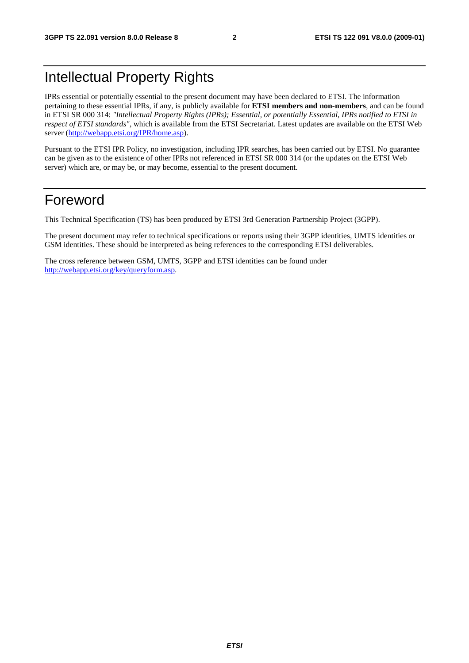# Intellectual Property Rights

IPRs essential or potentially essential to the present document may have been declared to ETSI. The information pertaining to these essential IPRs, if any, is publicly available for **ETSI members and non-members**, and can be found in ETSI SR 000 314: *"Intellectual Property Rights (IPRs); Essential, or potentially Essential, IPRs notified to ETSI in respect of ETSI standards"*, which is available from the ETSI Secretariat. Latest updates are available on the ETSI Web server [\(http://webapp.etsi.org/IPR/home.asp\)](http://webapp.etsi.org/IPR/home.asp).

Pursuant to the ETSI IPR Policy, no investigation, including IPR searches, has been carried out by ETSI. No guarantee can be given as to the existence of other IPRs not referenced in ETSI SR 000 314 (or the updates on the ETSI Web server) which are, or may be, or may become, essential to the present document.

### Foreword

This Technical Specification (TS) has been produced by ETSI 3rd Generation Partnership Project (3GPP).

The present document may refer to technical specifications or reports using their 3GPP identities, UMTS identities or GSM identities. These should be interpreted as being references to the corresponding ETSI deliverables.

The cross reference between GSM, UMTS, 3GPP and ETSI identities can be found under [http://webapp.etsi.org/key/queryform.asp.](http://webapp.etsi.org/key/queryform.asp)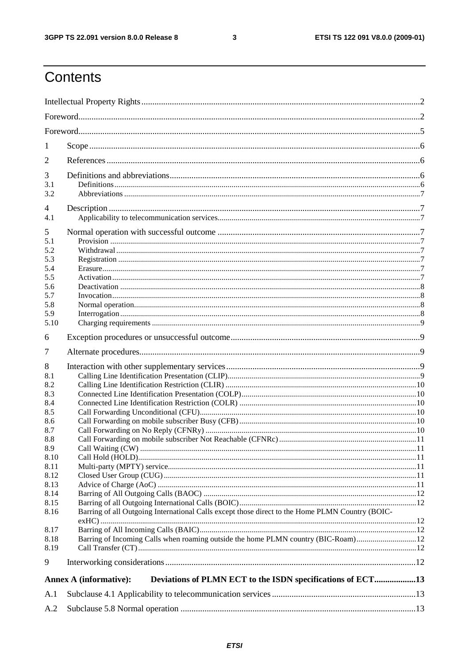$\mathbf{3}$ 

# Contents

| 1           |                                                                                                 |  |  |  |  |  |  |
|-------------|-------------------------------------------------------------------------------------------------|--|--|--|--|--|--|
| 2           |                                                                                                 |  |  |  |  |  |  |
| 3           |                                                                                                 |  |  |  |  |  |  |
| 3.1         |                                                                                                 |  |  |  |  |  |  |
| 3.2         |                                                                                                 |  |  |  |  |  |  |
| 4<br>4.1    |                                                                                                 |  |  |  |  |  |  |
|             |                                                                                                 |  |  |  |  |  |  |
| 5<br>5.1    |                                                                                                 |  |  |  |  |  |  |
| 5.2         |                                                                                                 |  |  |  |  |  |  |
| 5.3         |                                                                                                 |  |  |  |  |  |  |
| 5.4<br>5.5  |                                                                                                 |  |  |  |  |  |  |
| 5.6         |                                                                                                 |  |  |  |  |  |  |
| 5.7         |                                                                                                 |  |  |  |  |  |  |
| 5.8         |                                                                                                 |  |  |  |  |  |  |
| 5.9<br>5.10 |                                                                                                 |  |  |  |  |  |  |
| 6           |                                                                                                 |  |  |  |  |  |  |
|             |                                                                                                 |  |  |  |  |  |  |
| 7           |                                                                                                 |  |  |  |  |  |  |
| 8           |                                                                                                 |  |  |  |  |  |  |
| 8.1<br>8.2  |                                                                                                 |  |  |  |  |  |  |
| 8.3         |                                                                                                 |  |  |  |  |  |  |
| 8.4         |                                                                                                 |  |  |  |  |  |  |
| 8.5         |                                                                                                 |  |  |  |  |  |  |
| 8.6         |                                                                                                 |  |  |  |  |  |  |
| 8.7<br>8.8  |                                                                                                 |  |  |  |  |  |  |
| 8.9         |                                                                                                 |  |  |  |  |  |  |
| 8.10        |                                                                                                 |  |  |  |  |  |  |
| 8.11        |                                                                                                 |  |  |  |  |  |  |
| 8.12        |                                                                                                 |  |  |  |  |  |  |
| 8.13        |                                                                                                 |  |  |  |  |  |  |
| 8.14        |                                                                                                 |  |  |  |  |  |  |
| 8.15        |                                                                                                 |  |  |  |  |  |  |
| 8.16        | Barring of all Outgoing International Calls except those direct to the Home PLMN Country (BOIC- |  |  |  |  |  |  |
| 8.17        |                                                                                                 |  |  |  |  |  |  |
| 8.18        | Barring of Incoming Calls when roaming outside the home PLMN country (BIC-Roam)12               |  |  |  |  |  |  |
| 8.19        |                                                                                                 |  |  |  |  |  |  |
| 9           |                                                                                                 |  |  |  |  |  |  |
|             | Deviations of PLMN ECT to the ISDN specifications of ECT13<br><b>Annex A (informative):</b>     |  |  |  |  |  |  |
| A.1         |                                                                                                 |  |  |  |  |  |  |
|             |                                                                                                 |  |  |  |  |  |  |
| A.2         |                                                                                                 |  |  |  |  |  |  |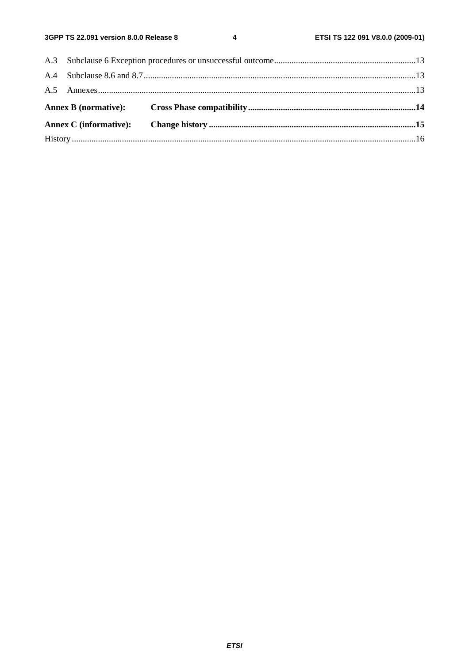$\overline{\mathbf{4}}$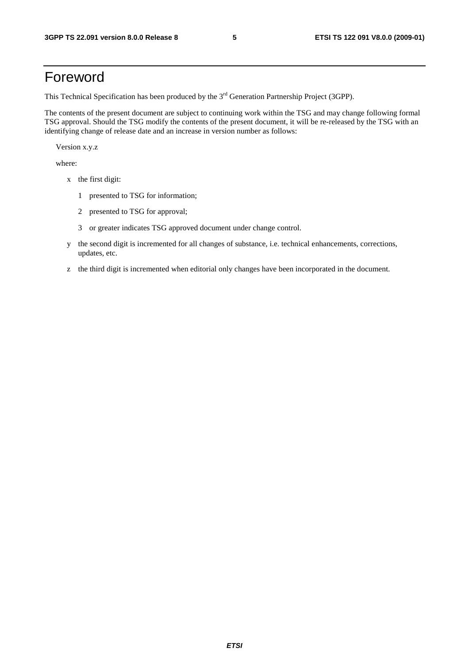## Foreword

This Technical Specification has been produced by the 3<sup>rd</sup> Generation Partnership Project (3GPP).

The contents of the present document are subject to continuing work within the TSG and may change following formal TSG approval. Should the TSG modify the contents of the present document, it will be re-released by the TSG with an identifying change of release date and an increase in version number as follows:

Version x.y.z

where:

- x the first digit:
	- 1 presented to TSG for information;
	- 2 presented to TSG for approval;
	- 3 or greater indicates TSG approved document under change control.
- y the second digit is incremented for all changes of substance, i.e. technical enhancements, corrections, updates, etc.
- z the third digit is incremented when editorial only changes have been incorporated in the document.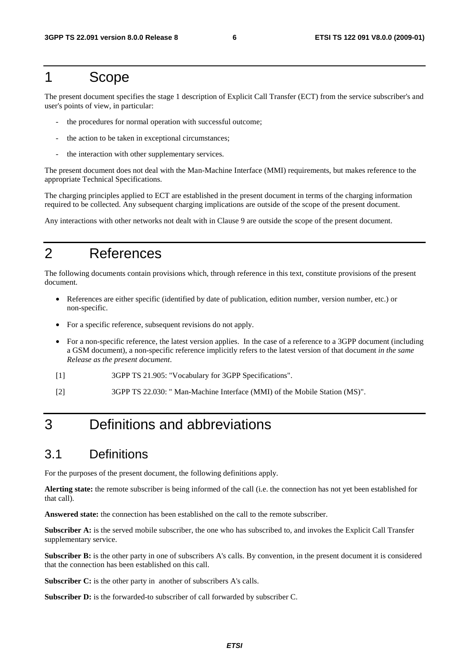#### 1 Scope

The present document specifies the stage 1 description of Explicit Call Transfer (ECT) from the service subscriber's and user's points of view, in particular:

- the procedures for normal operation with successful outcome;
- the action to be taken in exceptional circumstances;
- the interaction with other supplementary services.

The present document does not deal with the Man-Machine Interface (MMI) requirements, but makes reference to the appropriate Technical Specifications.

The charging principles applied to ECT are established in the present document in terms of the charging information required to be collected. Any subsequent charging implications are outside of the scope of the present document.

Any interactions with other networks not dealt with in Clause 9 are outside the scope of the present document.

## 2 References

The following documents contain provisions which, through reference in this text, constitute provisions of the present document.

- References are either specific (identified by date of publication, edition number, version number, etc.) or non-specific.
- For a specific reference, subsequent revisions do not apply.
- For a non-specific reference, the latest version applies. In the case of a reference to a 3GPP document (including a GSM document), a non-specific reference implicitly refers to the latest version of that document *in the same Release as the present document*.
- [1] 3GPP TS 21.905: "Vocabulary for 3GPP Specifications".
- [2] 3GPP TS 22.030: " Man-Machine Interface (MMI) of the Mobile Station (MS)".

# 3 Definitions and abbreviations

#### 3.1 Definitions

For the purposes of the present document, the following definitions apply.

**Alerting state:** the remote subscriber is being informed of the call (i.e. the connection has not yet been established for that call).

**Answered state:** the connection has been established on the call to the remote subscriber.

**Subscriber A:** is the served mobile subscriber, the one who has subscribed to, and invokes the Explicit Call Transfer supplementary service.

**Subscriber B:** is the other party in one of subscribers A's calls. By convention, in the present document it is considered that the connection has been established on this call.

**Subscriber C:** is the other party in another of subscribers A's calls.

Subscriber D: is the forwarded-to subscriber of call forwarded by subscriber C.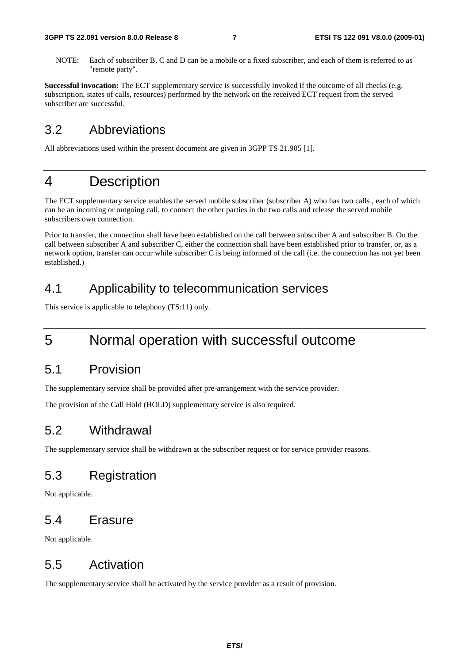NOTE: Each of subscriber B, C and D can be a mobile or a fixed subscriber, and each of them is referred to as "remote party".

**Successful invocation:** The ECT supplementary service is successfully invoked if the outcome of all checks (e.g. subscription, states of calls, resources) performed by the network on the received ECT request from the served subscriber are successful.

#### 3.2 Abbreviations

All abbreviations used within the present document are given in 3GPP TS 21.905 [1].

#### 4 Description

The ECT supplementary service enables the served mobile subscriber (subscriber A) who has two calls , each of which can be an incoming or outgoing call, to connect the other parties in the two calls and release the served mobile subscribers own connection.

Prior to transfer, the connection shall have been established on the call between subscriber A and subscriber B. On the call between subscriber A and subscriber C, either the connection shall have been established prior to transfer, or, as a network option, transfer can occur while subscriber C is being informed of the call (i.e. the connection has not yet been established.)

#### 4.1 Applicability to telecommunication services

This service is applicable to telephony (TS:11) only.

### 5 Normal operation with successful outcome

#### 5.1 Provision

The supplementary service shall be provided after pre-arrangement with the service provider.

The provision of the Call Hold (HOLD) supplementary service is also required.

#### 5.2 Withdrawal

The supplementary service shall be withdrawn at the subscriber request or for service provider reasons.

#### 5.3 Registration

Not applicable.

#### 5.4 Erasure

Not applicable.

#### 5.5 Activation

The supplementary service shall be activated by the service provider as a result of provision.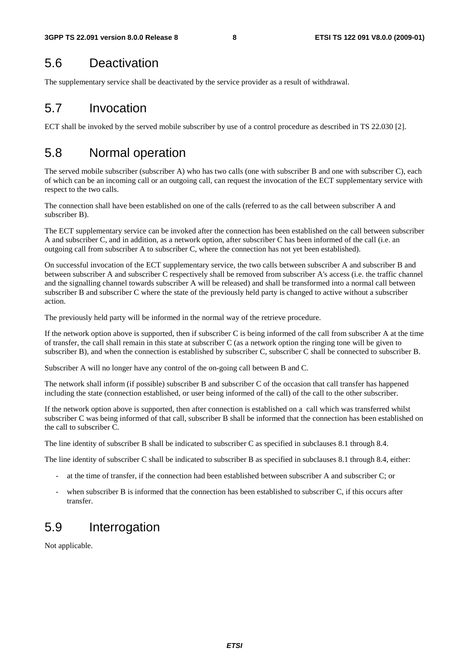### 5.6 Deactivation

The supplementary service shall be deactivated by the service provider as a result of withdrawal.

# 5.7 Invocation

ECT shall be invoked by the served mobile subscriber by use of a control procedure as described in TS 22.030 [2].

# 5.8 Normal operation

The served mobile subscriber (subscriber A) who has two calls (one with subscriber B and one with subscriber C), each of which can be an incoming call or an outgoing call, can request the invocation of the ECT supplementary service with respect to the two calls.

The connection shall have been established on one of the calls (referred to as the call between subscriber A and subscriber B).

The ECT supplementary service can be invoked after the connection has been established on the call between subscriber A and subscriber C, and in addition, as a network option, after subscriber C has been informed of the call (i.e. an outgoing call from subscriber A to subscriber C, where the connection has not yet been established).

On successful invocation of the ECT supplementary service, the two calls between subscriber A and subscriber B and between subscriber A and subscriber C respectively shall be removed from subscriber A's access (i.e. the traffic channel and the signalling channel towards subscriber A will be released) and shall be transformed into a normal call between subscriber B and subscriber C where the state of the previously held party is changed to active without a subscriber action.

The previously held party will be informed in the normal way of the retrieve procedure.

If the network option above is supported, then if subscriber C is being informed of the call from subscriber A at the time of transfer, the call shall remain in this state at subscriber C (as a network option the ringing tone will be given to subscriber B), and when the connection is established by subscriber C, subscriber C shall be connected to subscriber B.

Subscriber A will no longer have any control of the on-going call between B and C.

The network shall inform (if possible) subscriber B and subscriber C of the occasion that call transfer has happened including the state (connection established, or user being informed of the call) of the call to the other subscriber.

If the network option above is supported, then after connection is established on a call which was transferred whilst subscriber C was being informed of that call, subscriber B shall be informed that the connection has been established on the call to subscriber C.

The line identity of subscriber B shall be indicated to subscriber C as specified in subclauses 8.1 through 8.4.

The line identity of subscriber C shall be indicated to subscriber B as specified in subclauses 8.1 through 8.4, either:

- at the time of transfer, if the connection had been established between subscriber A and subscriber C; or
- when subscriber B is informed that the connection has been established to subscriber C, if this occurs after transfer.

# 5.9 Interrogation

Not applicable.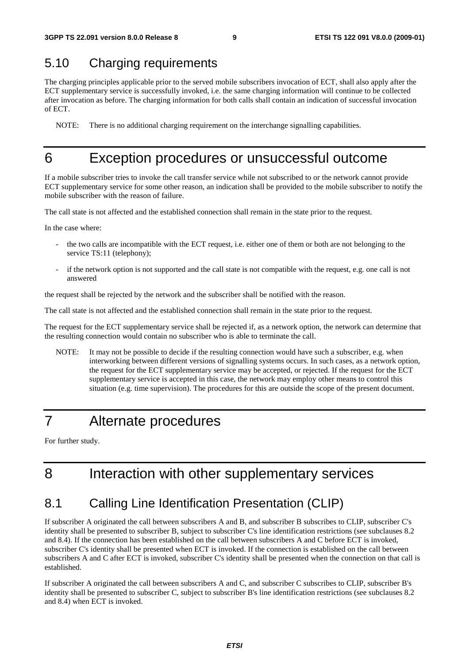#### 5.10 Charging requirements

The charging principles applicable prior to the served mobile subscribers invocation of ECT, shall also apply after the ECT supplementary service is successfully invoked, i.e. the same charging information will continue to be collected after invocation as before. The charging information for both calls shall contain an indication of successful invocation of ECT.

NOTE: There is no additional charging requirement on the interchange signalling capabilities.

#### 6 Exception procedures or unsuccessful outcome

If a mobile subscriber tries to invoke the call transfer service while not subscribed to or the network cannot provide ECT supplementary service for some other reason, an indication shall be provided to the mobile subscriber to notify the mobile subscriber with the reason of failure.

The call state is not affected and the established connection shall remain in the state prior to the request.

In the case where:

- the two calls are incompatible with the ECT request, i.e. either one of them or both are not belonging to the service TS:11 (telephony);
- if the network option is not supported and the call state is not compatible with the request, e.g. one call is not answered

the request shall be rejected by the network and the subscriber shall be notified with the reason.

The call state is not affected and the established connection shall remain in the state prior to the request.

The request for the ECT supplementary service shall be rejected if, as a network option, the network can determine that the resulting connection would contain no subscriber who is able to terminate the call.

NOTE: It may not be possible to decide if the resulting connection would have such a subscriber, e.g. when interworking between different versions of signalling systems occurs. In such cases, as a network option, the request for the ECT supplementary service may be accepted, or rejected. If the request for the ECT supplementary service is accepted in this case, the network may employ other means to control this situation (e.g. time supervision). The procedures for this are outside the scope of the present document.

# 7 Alternate procedures

For further study.

# 8 Interaction with other supplementary services

#### 8.1 Calling Line Identification Presentation (CLIP)

If subscriber A originated the call between subscribers A and B, and subscriber B subscribes to CLIP, subscriber C's identity shall be presented to subscriber B, subject to subscriber C's line identification restrictions (see subclauses 8.2 and 8.4). If the connection has been established on the call between subscribers A and C before ECT is invoked, subscriber C's identity shall be presented when ECT is invoked. If the connection is established on the call between subscribers A and C after ECT is invoked, subscriber C's identity shall be presented when the connection on that call is established.

If subscriber A originated the call between subscribers A and C, and subscriber C subscribes to CLIP, subscriber B's identity shall be presented to subscriber C, subject to subscriber B's line identification restrictions (see subclauses 8.2 and 8.4) when ECT is invoked.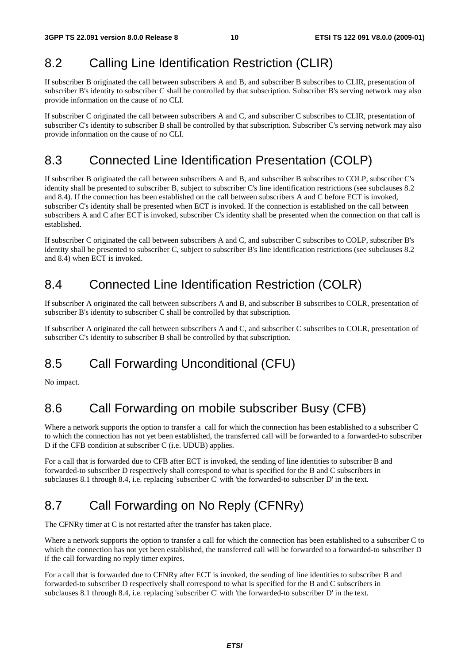#### 8.2 Calling Line Identification Restriction (CLIR)

If subscriber B originated the call between subscribers A and B, and subscriber B subscribes to CLIR, presentation of subscriber B's identity to subscriber C shall be controlled by that subscription. Subscriber B's serving network may also provide information on the cause of no CLI.

If subscriber C originated the call between subscribers A and C, and subscriber C subscribes to CLIR, presentation of subscriber C's identity to subscriber B shall be controlled by that subscription. Subscriber C's serving network may also provide information on the cause of no CLI.

#### 8.3 Connected Line Identification Presentation (COLP)

If subscriber B originated the call between subscribers A and B, and subscriber B subscribes to COLP, subscriber C's identity shall be presented to subscriber B, subject to subscriber C's line identification restrictions (see subclauses 8.2 and 8.4). If the connection has been established on the call between subscribers A and C before ECT is invoked, subscriber C's identity shall be presented when ECT is invoked. If the connection is established on the call between subscribers A and C after ECT is invoked, subscriber C's identity shall be presented when the connection on that call is established.

If subscriber C originated the call between subscribers A and C, and subscriber C subscribes to COLP, subscriber B's identity shall be presented to subscriber C, subject to subscriber B's line identification restrictions (see subclauses 8.2 and 8.4) when ECT is invoked.

#### 8.4 Connected Line Identification Restriction (COLR)

If subscriber A originated the call between subscribers A and B, and subscriber B subscribes to COLR, presentation of subscriber B's identity to subscriber C shall be controlled by that subscription.

If subscriber A originated the call between subscribers A and C, and subscriber C subscribes to COLR, presentation of subscriber C's identity to subscriber B shall be controlled by that subscription.

# 8.5 Call Forwarding Unconditional (CFU)

No impact.

# 8.6 Call Forwarding on mobile subscriber Busy (CFB)

Where a network supports the option to transfer a call for which the connection has been established to a subscriber C to which the connection has not yet been established, the transferred call will be forwarded to a forwarded-to subscriber D if the CFB condition at subscriber C (i.e. UDUB) applies.

For a call that is forwarded due to CFB after ECT is invoked, the sending of line identities to subscriber B and forwarded-to subscriber D respectively shall correspond to what is specified for the B and C subscribers in subclauses 8.1 through 8.4, i.e. replacing 'subscriber C' with 'the forwarded-to subscriber D' in the text.

# 8.7 Call Forwarding on No Reply (CFNRy)

The CFNRy timer at C is not restarted after the transfer has taken place.

Where a network supports the option to transfer a call for which the connection has been established to a subscriber C to which the connection has not yet been established, the transferred call will be forwarded to a forwarded-to subscriber D if the call forwarding no reply timer expires.

For a call that is forwarded due to CFNRy after ECT is invoked, the sending of line identities to subscriber B and forwarded-to subscriber D respectively shall correspond to what is specified for the B and C subscribers in subclauses 8.1 through 8.4, i.e. replacing 'subscriber C' with 'the forwarded-to subscriber D' in the text.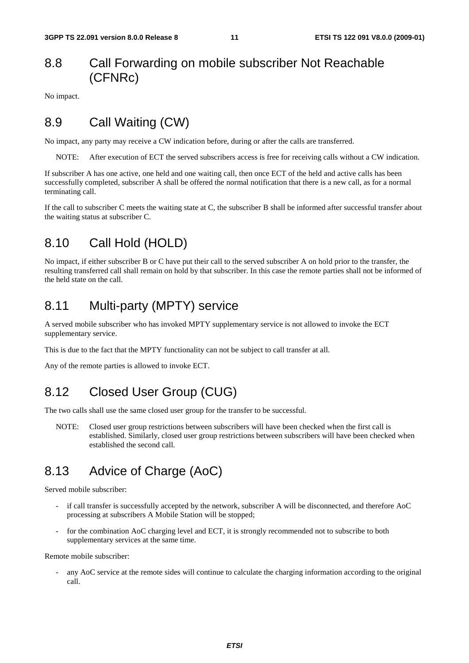#### 8.8 Call Forwarding on mobile subscriber Not Reachable (CFNRc)

No impact.

#### 8.9 Call Waiting (CW)

No impact, any party may receive a CW indication before, during or after the calls are transferred.

NOTE: After execution of ECT the served subscribers access is free for receiving calls without a CW indication.

If subscriber A has one active, one held and one waiting call, then once ECT of the held and active calls has been successfully completed, subscriber A shall be offered the normal notification that there is a new call, as for a normal terminating call.

If the call to subscriber C meets the waiting state at C, the subscriber B shall be informed after successful transfer about the waiting status at subscriber C.

#### 8.10 Call Hold (HOLD)

No impact, if either subscriber B or C have put their call to the served subscriber A on hold prior to the transfer, the resulting transferred call shall remain on hold by that subscriber. In this case the remote parties shall not be informed of the held state on the call.

#### 8.11 Multi-party (MPTY) service

A served mobile subscriber who has invoked MPTY supplementary service is not allowed to invoke the ECT supplementary service.

This is due to the fact that the MPTY functionality can not be subject to call transfer at all.

Any of the remote parties is allowed to invoke ECT.

#### 8.12 Closed User Group (CUG)

The two calls shall use the same closed user group for the transfer to be successful.

NOTE: Closed user group restrictions between subscribers will have been checked when the first call is established. Similarly, closed user group restrictions between subscribers will have been checked when established the second call.

### 8.13 Advice of Charge (AoC)

Served mobile subscriber:

- if call transfer is successfully accepted by the network, subscriber A will be disconnected, and therefore AoC processing at subscribers A Mobile Station will be stopped;
- for the combination AoC charging level and ECT, it is strongly recommended not to subscribe to both supplementary services at the same time.

Remote mobile subscriber:

any AoC service at the remote sides will continue to calculate the charging information according to the original call.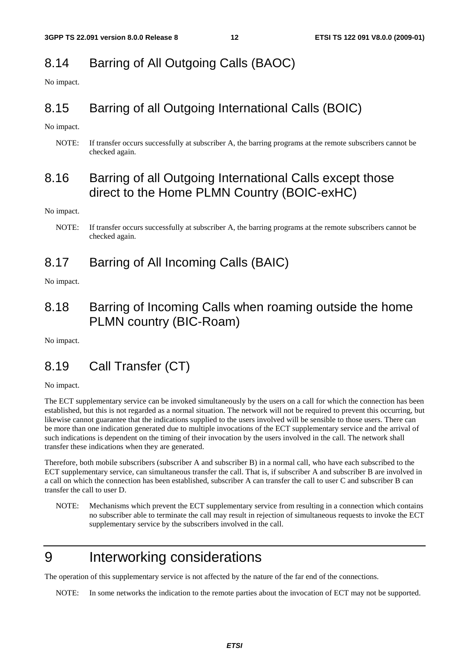#### 8.14 Barring of All Outgoing Calls (BAOC)

No impact.

#### 8.15 Barring of all Outgoing International Calls (BOIC)

No impact.

NOTE: If transfer occurs successfully at subscriber A, the barring programs at the remote subscribers cannot be checked again.

#### 8.16 Barring of all Outgoing International Calls except those direct to the Home PLMN Country (BOIC-exHC)

No impact.

#### 8.17 Barring of All Incoming Calls (BAIC)

No impact.

#### 8.18 Barring of Incoming Calls when roaming outside the home PLMN country (BIC-Roam)

No impact.

#### 8.19 Call Transfer (CT)

No impact.

The ECT supplementary service can be invoked simultaneously by the users on a call for which the connection has been established, but this is not regarded as a normal situation. The network will not be required to prevent this occurring, but likewise cannot guarantee that the indications supplied to the users involved will be sensible to those users. There can be more than one indication generated due to multiple invocations of the ECT supplementary service and the arrival of such indications is dependent on the timing of their invocation by the users involved in the call. The network shall transfer these indications when they are generated.

Therefore, both mobile subscribers (subscriber A and subscriber B) in a normal call, who have each subscribed to the ECT supplementary service, can simultaneous transfer the call. That is, if subscriber A and subscriber B are involved in a call on which the connection has been established, subscriber A can transfer the call to user C and subscriber B can transfer the call to user D.

NOTE: Mechanisms which prevent the ECT supplementary service from resulting in a connection which contains no subscriber able to terminate the call may result in rejection of simultaneous requests to invoke the ECT supplementary service by the subscribers involved in the call.

# 9 Interworking considerations

The operation of this supplementary service is not affected by the nature of the far end of the connections.

NOTE: In some networks the indication to the remote parties about the invocation of ECT may not be supported.

NOTE: If transfer occurs successfully at subscriber A, the barring programs at the remote subscribers cannot be checked again.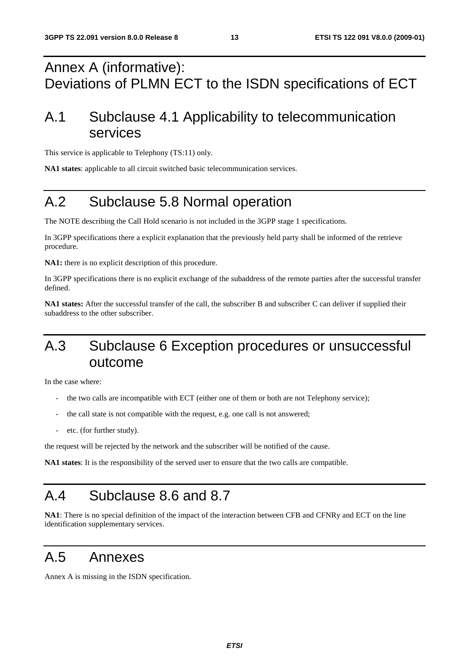# Annex A (informative): Deviations of PLMN ECT to the ISDN specifications of ECT

# A.1 Subclause 4.1 Applicability to telecommunication services

This service is applicable to Telephony (TS:11) only.

**NA1 states**: applicable to all circuit switched basic telecommunication services.

# A.2 Subclause 5.8 Normal operation

The NOTE describing the Call Hold scenario is not included in the 3GPP stage 1 specifications.

In 3GPP specifications there a explicit explanation that the previously held party shall be informed of the retrieve procedure.

**NA1:** there is no explicit description of this procedure.

In 3GPP specifications there is no explicit exchange of the subaddress of the remote parties after the successful transfer defined.

**NA1 states:** After the successful transfer of the call, the subscriber B and subscriber C can deliver if supplied their subaddress to the other subscriber.

# A.3 Subclause 6 Exception procedures or unsuccessful outcome

In the case where:

- the two calls are incompatible with ECT (either one of them or both are not Telephony service);
- the call state is not compatible with the request, e.g. one call is not answered;
- etc. (for further study).

the request will be rejected by the network and the subscriber will be notified of the cause.

**NA1 states**: It is the responsibility of the served user to ensure that the two calls are compatible.

# A.4 Subclause 8.6 and 8.7

**NA1**: There is no special definition of the impact of the interaction between CFB and CFNRy and ECT on the line identification supplementary services.

### A.5 Annexes

Annex A is missing in the ISDN specification.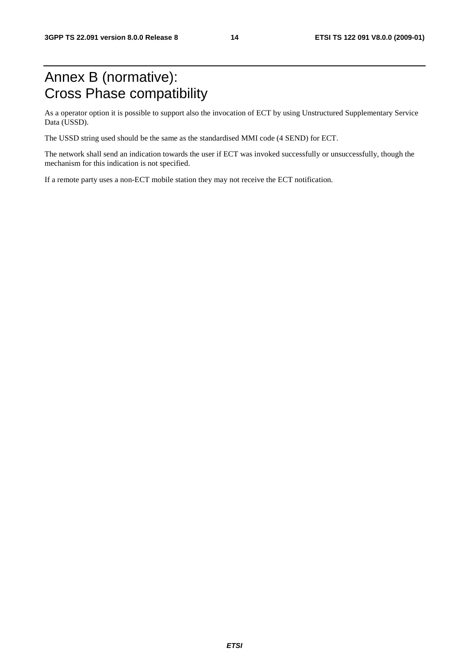# Annex B (normative): Cross Phase compatibility

As a operator option it is possible to support also the invocation of ECT by using Unstructured Supplementary Service Data (USSD).

The USSD string used should be the same as the standardised MMI code (4 SEND) for ECT.

The network shall send an indication towards the user if ECT was invoked successfully or unsuccessfully, though the mechanism for this indication is not specified.

If a remote party uses a non-ECT mobile station they may not receive the ECT notification.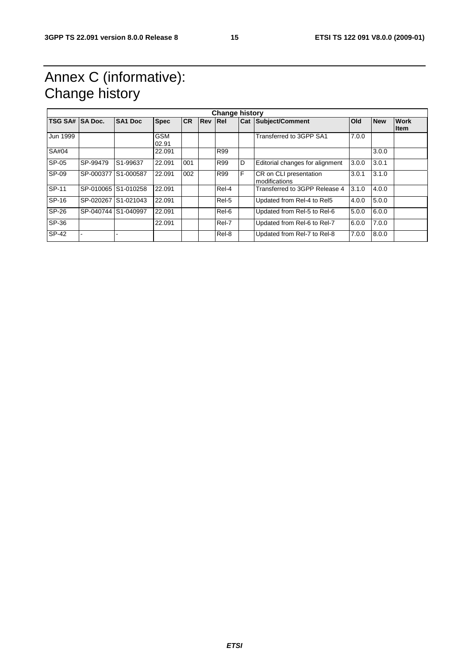# Annex C (informative): Change history

| <b>Change history</b> |                     |                       |                     |           |                |            |   |                                         |            |            |                            |
|-----------------------|---------------------|-----------------------|---------------------|-----------|----------------|------------|---|-----------------------------------------|------------|------------|----------------------------|
| <b>TSG SA#</b>        | <b>SA Doc.</b>      | <b>SA1 Doc</b>        | <b>Spec</b>         | <b>CR</b> | <b>Rev Rel</b> |            |   | <b>Cat Subject/Comment</b>              | <b>Old</b> | <b>New</b> | <b>Work</b><br><b>Item</b> |
| Jun 1999              |                     |                       | <b>GSM</b><br>02.91 |           |                |            |   | Transferred to 3GPP SA1                 | 7.0.0      |            |                            |
| SA#04                 |                     |                       | 22.091              |           |                | R99        |   |                                         |            | 3.0.0      |                            |
| SP-05                 | SP-99479            | S <sub>1</sub> -99637 | 22.091              | 001       |                | <b>R99</b> | D | Editorial changes for alignment         | 3.0.0      | 3.0.1      |                            |
| SP-09                 | SP-000377 S1-000587 |                       | 22.091              | 002       |                | <b>R99</b> | F | CR on CLI presentation<br>modifications | 3.0.1      | 3.1.0      |                            |
| SP-11                 |                     | SP-010065 S1-010258   | 22.091              |           |                | Rel-4      |   | Transferred to 3GPP Release 4           | 3.1.0      | 4.0.0      |                            |
| SP-16                 |                     | SP-020267 S1-021043   | 22.091              |           |                | Rel-5      |   | Updated from Rel-4 to Rel5              | 4.0.0      | 5.0.0      |                            |
| SP-26                 |                     | SP-040744 S1-040997   | 22.091              |           |                | Rel-6      |   | Updated from Rel-5 to Rel-6             | 5.0.0      | 6.0.0      |                            |
| SP-36                 |                     |                       | 22.091              |           |                | Rel-7      |   | Updated from Rel-6 to Rel-7             | 6.0.0      | 7.0.0      |                            |
| <b>SP-42</b>          |                     |                       |                     |           |                | Rel-8      |   | Updated from Rel-7 to Rel-8             | 7.0.0      | 8.0.0      |                            |